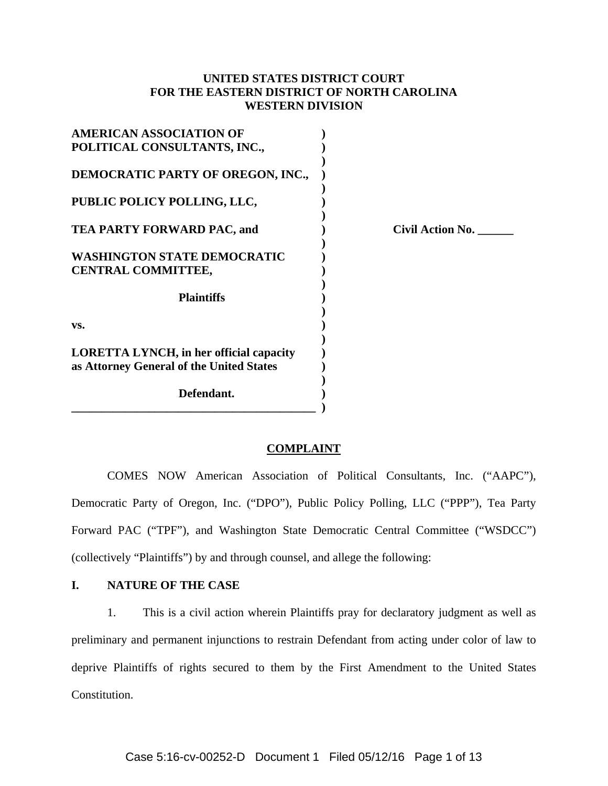# **UNITED STATES DISTRICT COURT FOR THE EASTERN DISTRICT OF NORTH CAROLINA WESTERN DIVISION**

| <b>AMERICAN ASSOCIATION OF</b><br>POLITICAL CONSULTANTS, INC.,                             |  |
|--------------------------------------------------------------------------------------------|--|
| DEMOCRATIC PARTY OF OREGON, INC.,                                                          |  |
| PUBLIC POLICY POLLING, LLC,                                                                |  |
| <b>TEA PARTY FORWARD PAC, and</b>                                                          |  |
| <b>WASHINGTON STATE DEMOCRATIC</b><br><b>CENTRAL COMMITTEE,</b>                            |  |
| <b>Plaintiffs</b>                                                                          |  |
| VS.                                                                                        |  |
| <b>LORETTA LYNCH, in her official capacity</b><br>as Attorney General of the United States |  |
| Defendant.                                                                                 |  |

**TEA PACE ACTION NO.** \_\_\_\_\_\_\_\_

### **COMPLAINT**

COMES NOW American Association of Political Consultants, Inc. ("AAPC"), Democratic Party of Oregon, Inc. ("DPO"), Public Policy Polling, LLC ("PPP"), Tea Party Forward PAC ("TPF"), and Washington State Democratic Central Committee ("WSDCC") (collectively "Plaintiffs") by and through counsel, and allege the following:

## **I. NATURE OF THE CASE**

1. This is a civil action wherein Plaintiffs pray for declaratory judgment as well as preliminary and permanent injunctions to restrain Defendant from acting under color of law to deprive Plaintiffs of rights secured to them by the First Amendment to the United States Constitution.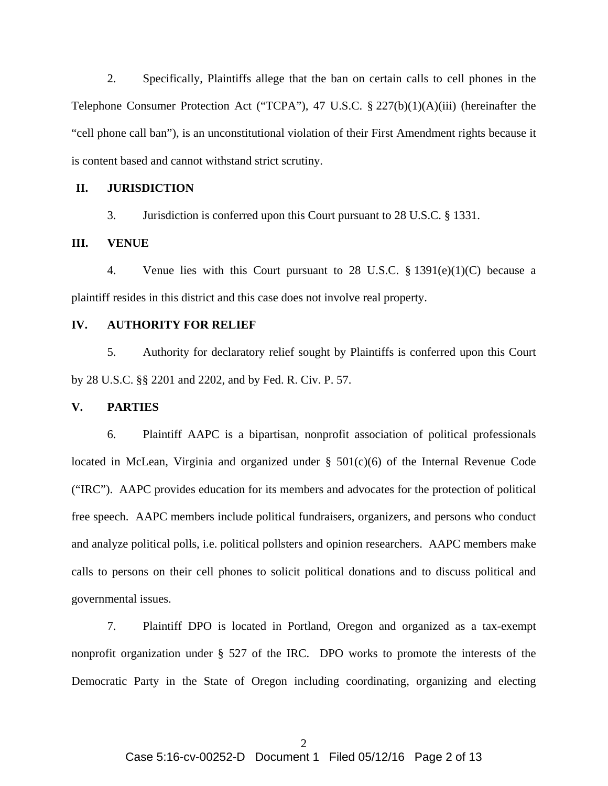2. Specifically, Plaintiffs allege that the ban on certain calls to cell phones in the Telephone Consumer Protection Act ("TCPA"), 47 U.S.C. § 227(b)(1)(A)(iii) (hereinafter the "cell phone call ban"), is an unconstitutional violation of their First Amendment rights because it is content based and cannot withstand strict scrutiny.

### **II. JURISDICTION**

3. Jurisdiction is conferred upon this Court pursuant to 28 U.S.C. § 1331.

### **III. VENUE**

4. Venue lies with this Court pursuant to 28 U.S.C. § 1391(e)(1)(C) because a plaintiff resides in this district and this case does not involve real property.

#### **IV. AUTHORITY FOR RELIEF**

5. Authority for declaratory relief sought by Plaintiffs is conferred upon this Court by 28 U.S.C. §§ 2201 and 2202, and by Fed. R. Civ. P. 57.

#### **V. PARTIES**

6. Plaintiff AAPC is a bipartisan, nonprofit association of political professionals located in McLean, Virginia and organized under  $\S$  501(c)(6) of the Internal Revenue Code ("IRC"). AAPC provides education for its members and advocates for the protection of political free speech. AAPC members include political fundraisers, organizers, and persons who conduct and analyze political polls, i.e. political pollsters and opinion researchers. AAPC members make calls to persons on their cell phones to solicit political donations and to discuss political and governmental issues.

7. Plaintiff DPO is located in Portland, Oregon and organized as a tax-exempt nonprofit organization under § 527 of the IRC. DPO works to promote the interests of the Democratic Party in the State of Oregon including coordinating, organizing and electing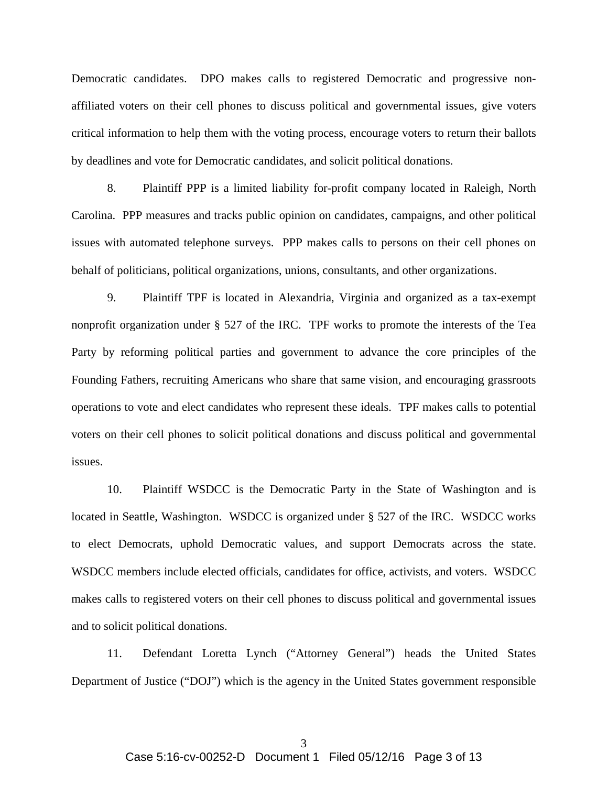Democratic candidates. DPO makes calls to registered Democratic and progressive nonaffiliated voters on their cell phones to discuss political and governmental issues, give voters critical information to help them with the voting process, encourage voters to return their ballots by deadlines and vote for Democratic candidates, and solicit political donations.

8. Plaintiff PPP is a limited liability for-profit company located in Raleigh, North Carolina. PPP measures and tracks public opinion on candidates, campaigns, and other political issues with automated telephone surveys. PPP makes calls to persons on their cell phones on behalf of politicians, political organizations, unions, consultants, and other organizations.

9. Plaintiff TPF is located in Alexandria, Virginia and organized as a tax-exempt nonprofit organization under § 527 of the IRC. TPF works to promote the interests of the Tea Party by reforming political parties and government to advance the core principles of the Founding Fathers, recruiting Americans who share that same vision, and encouraging grassroots operations to vote and elect candidates who represent these ideals. TPF makes calls to potential voters on their cell phones to solicit political donations and discuss political and governmental issues.

10. Plaintiff WSDCC is the Democratic Party in the State of Washington and is located in Seattle, Washington. WSDCC is organized under § 527 of the IRC. WSDCC works to elect Democrats, uphold Democratic values, and support Democrats across the state. WSDCC members include elected officials, candidates for office, activists, and voters. WSDCC makes calls to registered voters on their cell phones to discuss political and governmental issues and to solicit political donations.

11. Defendant Loretta Lynch ("Attorney General") heads the United States Department of Justice ("DOJ") which is the agency in the United States government responsible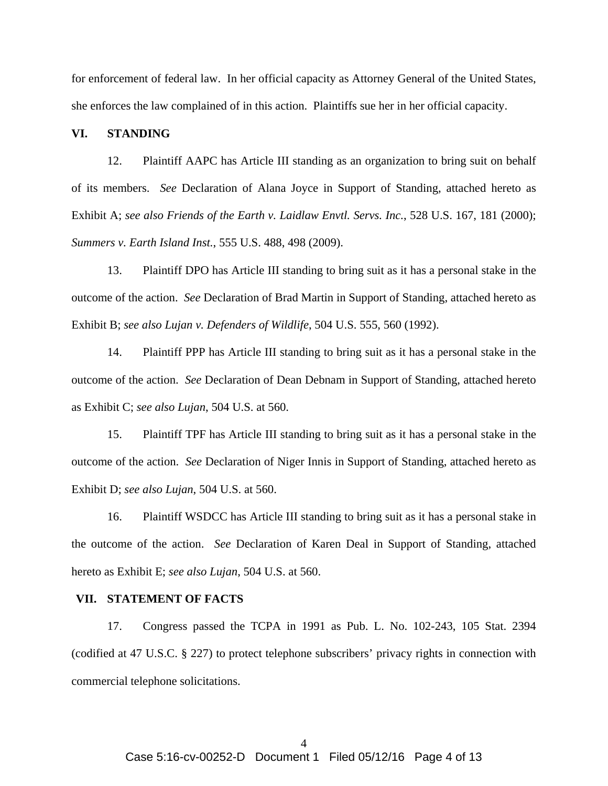for enforcement of federal law. In her official capacity as Attorney General of the United States, she enforces the law complained of in this action. Plaintiffs sue her in her official capacity.

### **VI. STANDING**

12. Plaintiff AAPC has Article III standing as an organization to bring suit on behalf of its members. *See* Declaration of Alana Joyce in Support of Standing, attached hereto as Exhibit A; *see also Friends of the Earth v. Laidlaw Envtl. Servs. Inc.*, 528 U.S. 167, 181 (2000); *Summers v. Earth Island Inst.*, 555 U.S. 488, 498 (2009).

13. Plaintiff DPO has Article III standing to bring suit as it has a personal stake in the outcome of the action. *See* Declaration of Brad Martin in Support of Standing, attached hereto as Exhibit B; *see also Lujan v. Defenders of Wildlife*, 504 U.S. 555, 560 (1992).

14. Plaintiff PPP has Article III standing to bring suit as it has a personal stake in the outcome of the action. *See* Declaration of Dean Debnam in Support of Standing, attached hereto as Exhibit C; *see also Lujan*, 504 U.S. at 560.

15. Plaintiff TPF has Article III standing to bring suit as it has a personal stake in the outcome of the action. *See* Declaration of Niger Innis in Support of Standing, attached hereto as Exhibit D; *see also Lujan*, 504 U.S. at 560.

16. Plaintiff WSDCC has Article III standing to bring suit as it has a personal stake in the outcome of the action. *See* Declaration of Karen Deal in Support of Standing, attached hereto as Exhibit E; *see also Lujan*, 504 U.S. at 560.

### **VII. STATEMENT OF FACTS**

17. Congress passed the TCPA in 1991 as Pub. L. No. 102-243, 105 Stat. 2394 (codified at 47 U.S.C. § 227) to protect telephone subscribers' privacy rights in connection with commercial telephone solicitations.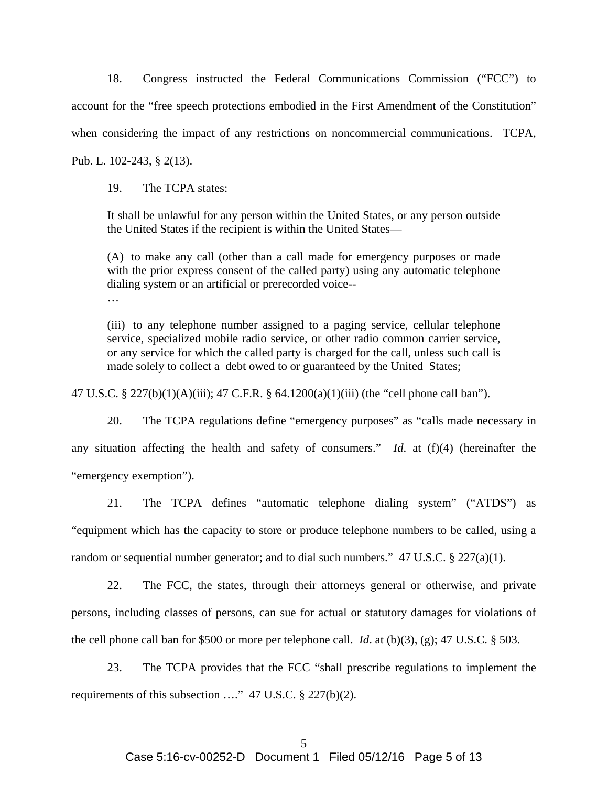18. Congress instructed the Federal Communications Commission ("FCC") to account for the "free speech protections embodied in the First Amendment of the Constitution" when considering the impact of any restrictions on noncommercial communications. TCPA, Pub. L. 102-243, § 2(13).

19. The TCPA states:

It shall be unlawful for any person within the United States, or any person outside the United States if the recipient is within the United States—

(A) to make any call (other than a call made for emergency purposes or made with the prior express consent of the called party) using any automatic telephone dialing system or an artificial or prerecorded voice--

…

(iii) to any telephone number assigned to a paging service, cellular telephone service, specialized mobile radio service, or other radio common carrier service, or any service for which the called party is charged for the call, unless such call is made solely to collect a debt owed to or guaranteed by the United States;

47 U.S.C. § 227(b)(1)(A)(iii); 47 C.F.R. § 64.1200(a)(1)(iii) (the "cell phone call ban").

20. The TCPA regulations define "emergency purposes" as "calls made necessary in any situation affecting the health and safety of consumers." *Id*. at (f)(4) (hereinafter the "emergency exemption").

21. The TCPA defines "automatic telephone dialing system" ("ATDS") as "equipment which has the capacity to store or produce telephone numbers to be called, using a random or sequential number generator; and to dial such numbers."  $47 \text{ U.S.C.}$  §  $227(a)(1)$ .

22. The FCC, the states, through their attorneys general or otherwise, and private persons, including classes of persons, can sue for actual or statutory damages for violations of the cell phone call ban for \$500 or more per telephone call. *Id*. at (b)(3), (g); 47 U.S.C. § 503.

23. The TCPA provides that the FCC "shall prescribe regulations to implement the requirements of this subsection …." 47 U.S.C. § 227(b)(2).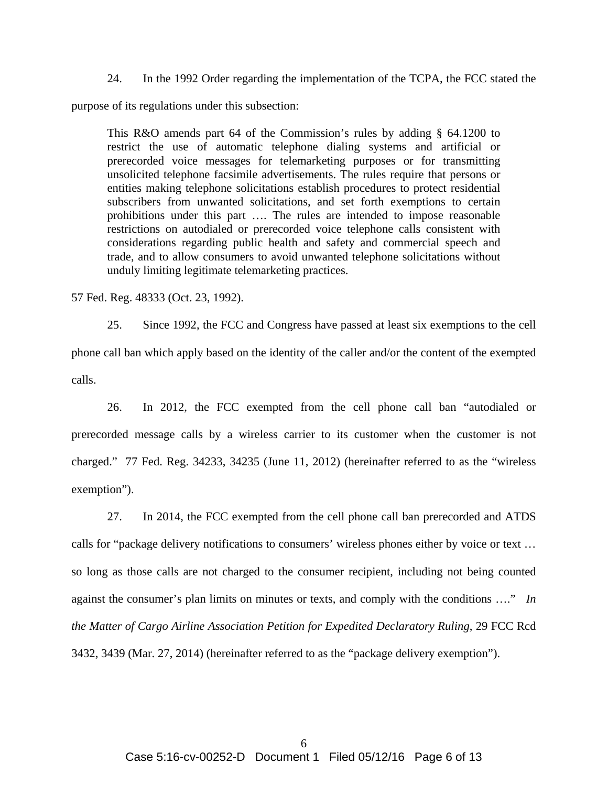24. In the 1992 Order regarding the implementation of the TCPA, the FCC stated the

purpose of its regulations under this subsection:

This R&O amends part 64 of the Commission's rules by adding § 64.1200 to restrict the use of automatic telephone dialing systems and artificial or prerecorded voice messages for telemarketing purposes or for transmitting unsolicited telephone facsimile advertisements. The rules require that persons or entities making telephone solicitations establish procedures to protect residential subscribers from unwanted solicitations, and set forth exemptions to certain prohibitions under this part …. The rules are intended to impose reasonable restrictions on autodialed or prerecorded voice telephone calls consistent with considerations regarding public health and safety and commercial speech and trade, and to allow consumers to avoid unwanted telephone solicitations without unduly limiting legitimate telemarketing practices.

57 Fed. Reg. 48333 (Oct. 23, 1992).

25. Since 1992, the FCC and Congress have passed at least six exemptions to the cell phone call ban which apply based on the identity of the caller and/or the content of the exempted calls.

26. In 2012, the FCC exempted from the cell phone call ban "autodialed or prerecorded message calls by a wireless carrier to its customer when the customer is not charged." 77 Fed. Reg. 34233, 34235 (June 11, 2012) (hereinafter referred to as the "wireless exemption").

27. In 2014, the FCC exempted from the cell phone call ban prerecorded and ATDS calls for "package delivery notifications to consumers' wireless phones either by voice or text … so long as those calls are not charged to the consumer recipient, including not being counted against the consumer's plan limits on minutes or texts, and comply with the conditions …." *In the Matter of Cargo Airline Association Petition for Expedited Declaratory Ruling*, 29 FCC Rcd 3432, 3439 (Mar. 27, 2014) (hereinafter referred to as the "package delivery exemption").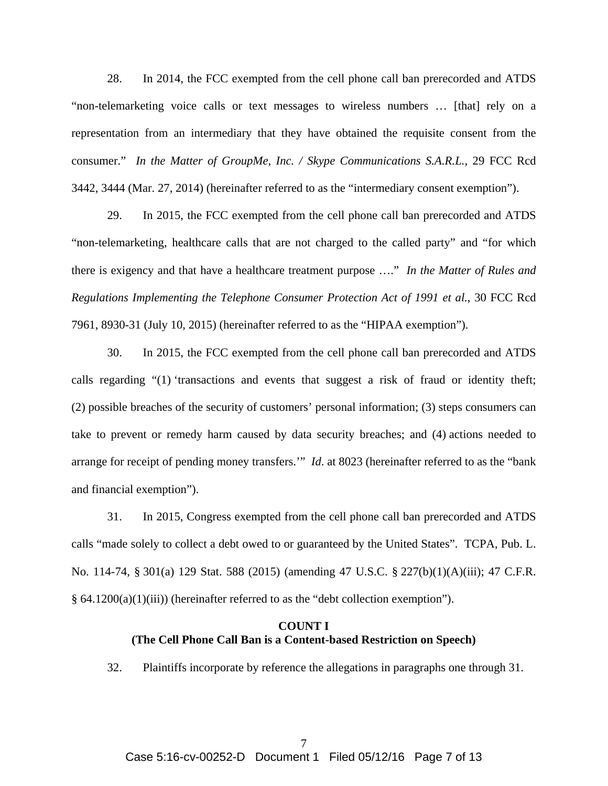28. In 2014, the FCC exempted from the cell phone call ban prerecorded and ATDS "non-telemarketing voice calls or text messages to wireless numbers … [that] rely on a representation from an intermediary that they have obtained the requisite consent from the consumer." *In the Matter of GroupMe, Inc. / Skype Communications S.A.R.L.*, 29 FCC Rcd 3442, 3444 (Mar. 27, 2014) (hereinafter referred to as the "intermediary consent exemption").

29. In 2015, the FCC exempted from the cell phone call ban prerecorded and ATDS "non-telemarketing, healthcare calls that are not charged to the called party" and "for which there is exigency and that have a healthcare treatment purpose …." *In the Matter of Rules and Regulations Implementing the Telephone Consumer Protection Act of 1991 et al.*, 30 FCC Rcd 7961, 8930-31 (July 10, 2015) (hereinafter referred to as the "HIPAA exemption").

30. In 2015, the FCC exempted from the cell phone call ban prerecorded and ATDS calls regarding "(1) 'transactions and events that suggest a risk of fraud or identity theft; (2) possible breaches of the security of customers' personal information; (3) steps consumers can take to prevent or remedy harm caused by data security breaches; and (4) actions needed to arrange for receipt of pending money transfers.'" *Id*. at 8023 (hereinafter referred to as the "bank and financial exemption").

31. In 2015, Congress exempted from the cell phone call ban prerecorded and ATDS calls "made solely to collect a debt owed to or guaranteed by the United States". TCPA, Pub. L. No. 114-74, § 301(a) 129 Stat. 588 (2015) (amending 47 U.S.C. § 227(b)(1)(A)(iii); 47 C.F.R. § 64.1200(a)(1)(iii)) (hereinafter referred to as the "debt collection exemption").

### **COUNT I (The Cell Phone Call Ban is a Content-based Restriction on Speech)**

32. Plaintiffs incorporate by reference the allegations in paragraphs one through 31.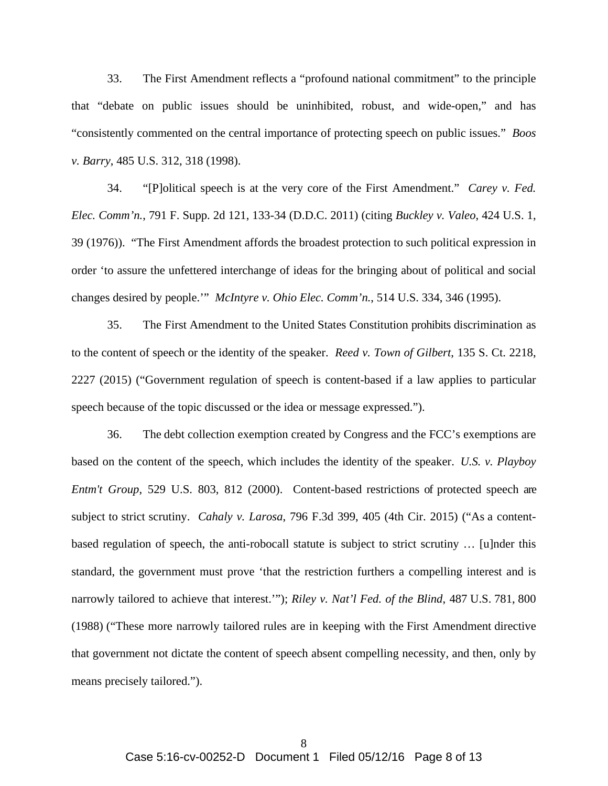33. The First Amendment reflects a "profound national commitment" to the principle that "debate on public issues should be uninhibited, robust, and wide-open," and has "consistently commented on the central importance of protecting speech on public issues." *Boos v. Barry*, 485 U.S. 312, 318 (1998).

34. "[P]olitical speech is at the very core of the First Amendment." *Carey v. Fed. Elec. Comm'n.*, 791 F. Supp. 2d 121, 133-34 (D.D.C. 2011) (citing *Buckley v. Valeo*, 424 U.S. 1, 39 (1976)). "The First Amendment affords the broadest protection to such political expression in order 'to assure the unfettered interchange of ideas for the bringing about of political and social changes desired by people.'" *McIntyre v. Ohio Elec. Comm'n.*, 514 U.S. 334, 346 (1995).

35. The First Amendment to the United States Constitution prohibits discrimination as to the content of speech or the identity of the speaker. *Reed v. Town of Gilbert*, 135 S. Ct. 2218, 2227 (2015) ("Government regulation of speech is content-based if a law applies to particular speech because of the topic discussed or the idea or message expressed.").

36. The debt collection exemption created by Congress and the FCC's exemptions are based on the content of the speech, which includes the identity of the speaker. *U.S. v. Playboy Entm't Group*, 529 U.S. 803, 812 (2000). Content-based restrictions of protected speech are subject to strict scrutiny. *Cahaly v. Larosa*, 796 F.3d 399, 405 (4th Cir. 2015) ("As a contentbased regulation of speech, the anti-robocall statute is subject to strict scrutiny … [u]nder this standard, the government must prove 'that the restriction furthers a compelling interest and is narrowly tailored to achieve that interest.'"); *Riley v. Nat'l Fed. of the Blind*, 487 U.S. 781, 800 (1988) ("These more narrowly tailored rules are in keeping with the First Amendment directive that government not dictate the content of speech absent compelling necessity, and then, only by means precisely tailored.").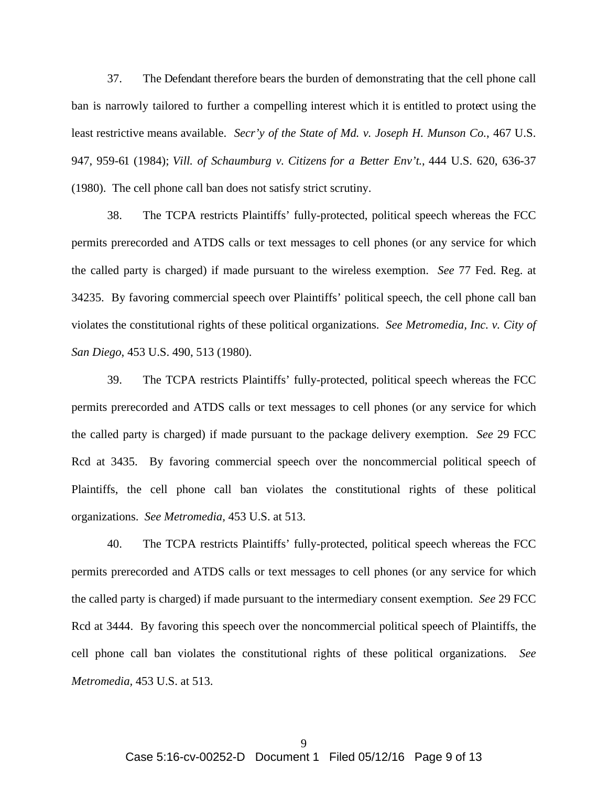37. The Defendant therefore bears the burden of demonstrating that the cell phone call ban is narrowly tailored to further a compelling interest which it is entitled to protect using the least restrictive means available. *Secr'y of the State of Md. v. Joseph H. Munson Co.*, 467 U.S. 947, 959-61 (1984); *Vill. of Schaumburg v. Citizens for a Better Env't.*, 444 U.S. 620, 636-37 (1980). The cell phone call ban does not satisfy strict scrutiny.

38. The TCPA restricts Plaintiffs' fully-protected, political speech whereas the FCC permits prerecorded and ATDS calls or text messages to cell phones (or any service for which the called party is charged) if made pursuant to the wireless exemption. *See* 77 Fed. Reg. at 34235. By favoring commercial speech over Plaintiffs' political speech, the cell phone call ban violates the constitutional rights of these political organizations. *See Metromedia, Inc. v. City of San Diego*, 453 U.S. 490, 513 (1980).

39. The TCPA restricts Plaintiffs' fully-protected, political speech whereas the FCC permits prerecorded and ATDS calls or text messages to cell phones (or any service for which the called party is charged) if made pursuant to the package delivery exemption. *See* 29 FCC Rcd at 3435. By favoring commercial speech over the noncommercial political speech of Plaintiffs, the cell phone call ban violates the constitutional rights of these political organizations. *See Metromedia,* 453 U.S. at 513.

40. The TCPA restricts Plaintiffs' fully-protected, political speech whereas the FCC permits prerecorded and ATDS calls or text messages to cell phones (or any service for which the called party is charged) if made pursuant to the intermediary consent exemption. *See* 29 FCC Rcd at 3444. By favoring this speech over the noncommercial political speech of Plaintiffs, the cell phone call ban violates the constitutional rights of these political organizations. *See Metromedia,* 453 U.S. at 513.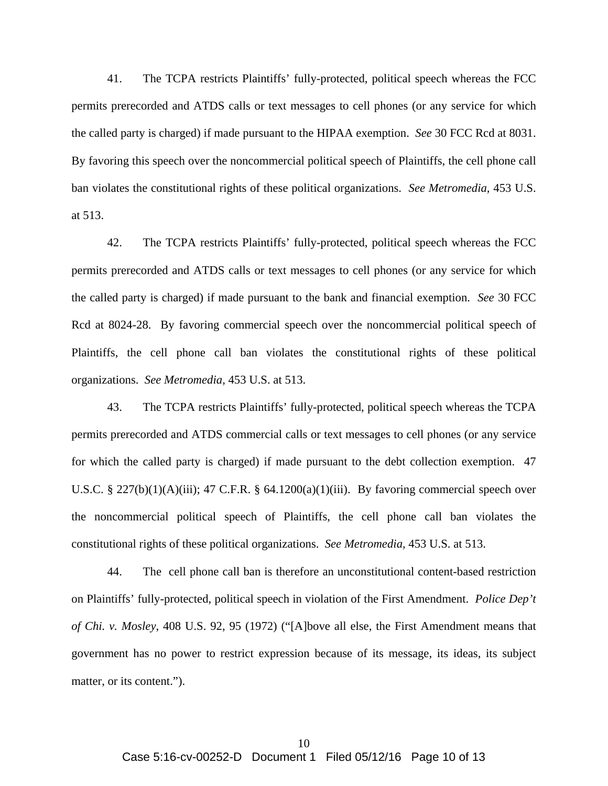41. The TCPA restricts Plaintiffs' fully-protected, political speech whereas the FCC permits prerecorded and ATDS calls or text messages to cell phones (or any service for which the called party is charged) if made pursuant to the HIPAA exemption. *See* 30 FCC Rcd at 8031. By favoring this speech over the noncommercial political speech of Plaintiffs, the cell phone call ban violates the constitutional rights of these political organizations. *See Metromedia,* 453 U.S. at 513.

42. The TCPA restricts Plaintiffs' fully-protected, political speech whereas the FCC permits prerecorded and ATDS calls or text messages to cell phones (or any service for which the called party is charged) if made pursuant to the bank and financial exemption. *See* 30 FCC Rcd at 8024-28. By favoring commercial speech over the noncommercial political speech of Plaintiffs, the cell phone call ban violates the constitutional rights of these political organizations. *See Metromedia,* 453 U.S. at 513.

43. The TCPA restricts Plaintiffs' fully-protected, political speech whereas the TCPA permits prerecorded and ATDS commercial calls or text messages to cell phones (or any service for which the called party is charged) if made pursuant to the debt collection exemption. 47 U.S.C. § 227(b)(1)(A)(iii); 47 C.F.R. § 64.1200(a)(1)(iii). By favoring commercial speech over the noncommercial political speech of Plaintiffs, the cell phone call ban violates the constitutional rights of these political organizations. *See Metromedia,* 453 U.S. at 513.

44. The cell phone call ban is therefore an unconstitutional content-based restriction on Plaintiffs' fully-protected, political speech in violation of the First Amendment. *Police Dep't of Chi. v. Mosley*, 408 U.S. 92, 95 (1972) ("[A]bove all else, the First Amendment means that government has no power to restrict expression because of its message, its ideas, its subject matter, or its content.").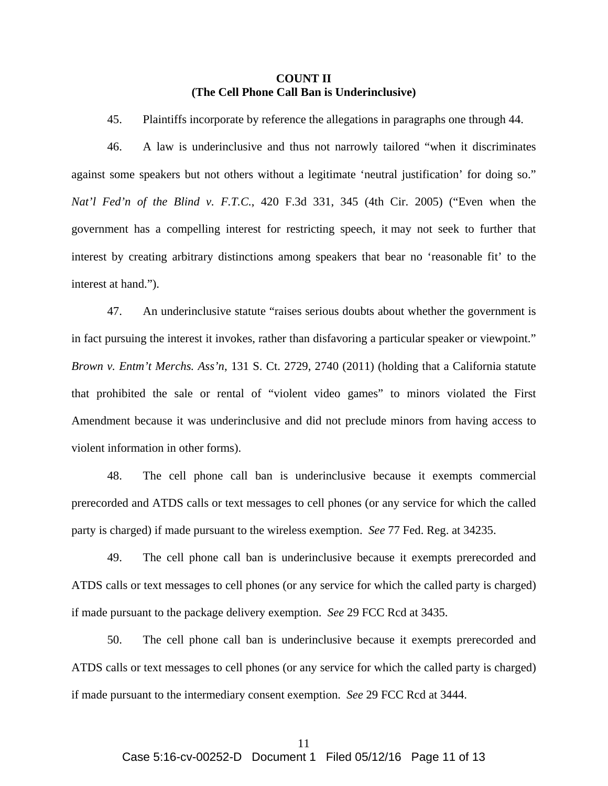### **COUNT II (The Cell Phone Call Ban is Underinclusive)**

45. Plaintiffs incorporate by reference the allegations in paragraphs one through 44.

46. A law is underinclusive and thus not narrowly tailored "when it discriminates against some speakers but not others without a legitimate 'neutral justification' for doing so." *Nat'l Fed'n of the Blind v. F.T.C.*, 420 F.3d 331, 345 (4th Cir. 2005) ("Even when the government has a compelling interest for restricting speech, it may not seek to further that interest by creating arbitrary distinctions among speakers that bear no 'reasonable fit' to the interest at hand.").

47. An underinclusive statute "raises serious doubts about whether the government is in fact pursuing the interest it invokes, rather than disfavoring a particular speaker or viewpoint." *Brown v. Entm't Merchs. Ass'n*, 131 S. Ct. 2729, 2740 (2011) (holding that a California statute that prohibited the sale or rental of "violent video games" to minors violated the First Amendment because it was underinclusive and did not preclude minors from having access to violent information in other forms).

48. The cell phone call ban is underinclusive because it exempts commercial prerecorded and ATDS calls or text messages to cell phones (or any service for which the called party is charged) if made pursuant to the wireless exemption. *See* 77 Fed. Reg. at 34235.

49. The cell phone call ban is underinclusive because it exempts prerecorded and ATDS calls or text messages to cell phones (or any service for which the called party is charged) if made pursuant to the package delivery exemption. *See* 29 FCC Rcd at 3435.

50. The cell phone call ban is underinclusive because it exempts prerecorded and ATDS calls or text messages to cell phones (or any service for which the called party is charged) if made pursuant to the intermediary consent exemption. *See* 29 FCC Rcd at 3444.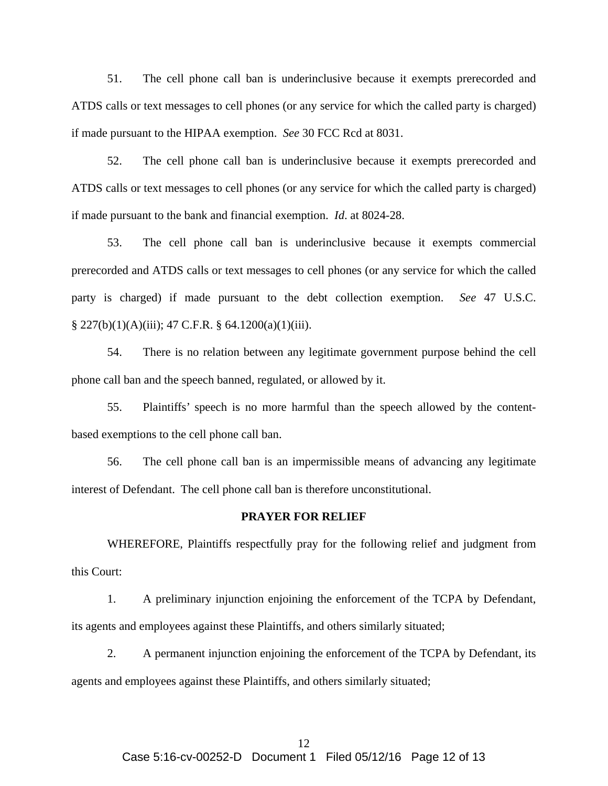51. The cell phone call ban is underinclusive because it exempts prerecorded and ATDS calls or text messages to cell phones (or any service for which the called party is charged) if made pursuant to the HIPAA exemption. *See* 30 FCC Rcd at 8031.

52. The cell phone call ban is underinclusive because it exempts prerecorded and ATDS calls or text messages to cell phones (or any service for which the called party is charged) if made pursuant to the bank and financial exemption. *Id*. at 8024-28.

53. The cell phone call ban is underinclusive because it exempts commercial prerecorded and ATDS calls or text messages to cell phones (or any service for which the called party is charged) if made pursuant to the debt collection exemption. *See* 47 U.S.C.  $§ 227(b)(1)(A)(iii); 47 C.F.R. § 64.1200(a)(1)(iii).$ 

54. There is no relation between any legitimate government purpose behind the cell phone call ban and the speech banned, regulated, or allowed by it.

55. Plaintiffs' speech is no more harmful than the speech allowed by the contentbased exemptions to the cell phone call ban.

56. The cell phone call ban is an impermissible means of advancing any legitimate interest of Defendant. The cell phone call ban is therefore unconstitutional.

#### **PRAYER FOR RELIEF**

WHEREFORE, Plaintiffs respectfully pray for the following relief and judgment from this Court:

1. A preliminary injunction enjoining the enforcement of the TCPA by Defendant, its agents and employees against these Plaintiffs, and others similarly situated;

2. A permanent injunction enjoining the enforcement of the TCPA by Defendant, its agents and employees against these Plaintiffs, and others similarly situated;

# 12

#### Case 5:16-cv-00252-D Document 1 Filed 05/12/16 Page 12 of 13